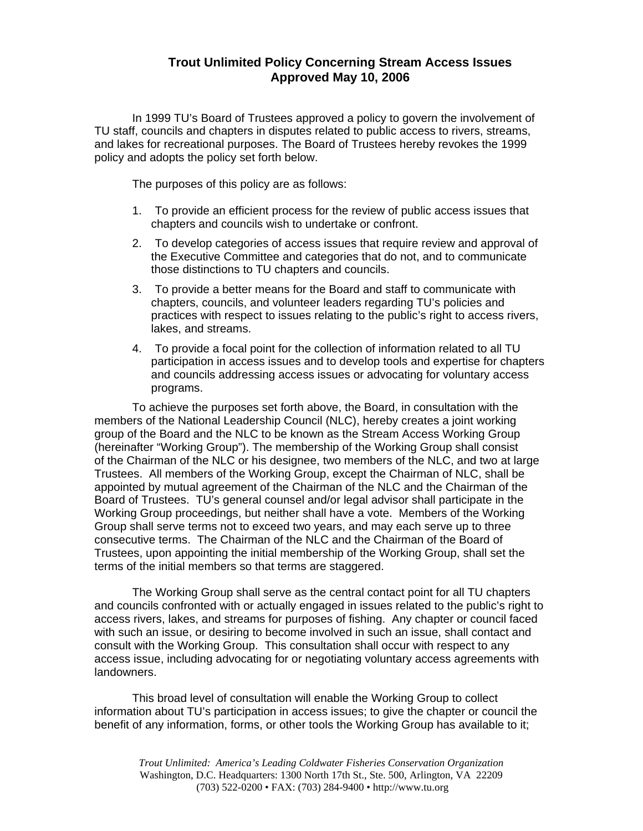## **Trout Unlimited Policy Concerning Stream Access Issues Approved May 10, 2006**

 In 1999 TU's Board of Trustees approved a policy to govern the involvement of TU staff, councils and chapters in disputes related to public access to rivers, streams, and lakes for recreational purposes. The Board of Trustees hereby revokes the 1999 policy and adopts the policy set forth below.

The purposes of this policy are as follows:

- 1. To provide an efficient process for the review of public access issues that chapters and councils wish to undertake or confront.
- 2. To develop categories of access issues that require review and approval of the Executive Committee and categories that do not, and to communicate those distinctions to TU chapters and councils.
- 3. To provide a better means for the Board and staff to communicate with chapters, councils, and volunteer leaders regarding TU's policies and practices with respect to issues relating to the public's right to access rivers, lakes, and streams.
- 4. To provide a focal point for the collection of information related to all TU participation in access issues and to develop tools and expertise for chapters and councils addressing access issues or advocating for voluntary access programs.

 To achieve the purposes set forth above, the Board, in consultation with the members of the National Leadership Council (NLC), hereby creates a joint working group of the Board and the NLC to be known as the Stream Access Working Group (hereinafter "Working Group"). The membership of the Working Group shall consist of the Chairman of the NLC or his designee, two members of the NLC, and two at large Trustees. All members of the Working Group, except the Chairman of NLC, shall be appointed by mutual agreement of the Chairman of the NLC and the Chairman of the Board of Trustees. TU's general counsel and/or legal advisor shall participate in the Working Group proceedings, but neither shall have a vote. Members of the Working Group shall serve terms not to exceed two years, and may each serve up to three consecutive terms. The Chairman of the NLC and the Chairman of the Board of Trustees, upon appointing the initial membership of the Working Group, shall set the terms of the initial members so that terms are staggered.

 The Working Group shall serve as the central contact point for all TU chapters and councils confronted with or actually engaged in issues related to the public's right to access rivers, lakes, and streams for purposes of fishing. Any chapter or council faced with such an issue, or desiring to become involved in such an issue, shall contact and consult with the Working Group. This consultation shall occur with respect to any access issue, including advocating for or negotiating voluntary access agreements with landowners.

 This broad level of consultation will enable the Working Group to collect information about TU's participation in access issues; to give the chapter or council the benefit of any information, forms, or other tools the Working Group has available to it;

*Trout Unlimited: America's Leading Coldwater Fisheries Conservation Organization*  Washington, D.C. Headquarters: 1300 North 17th St., Ste. 500, Arlington, VA 22209 (703) 522-0200 • FAX: (703) 284-9400 • http://www.tu.org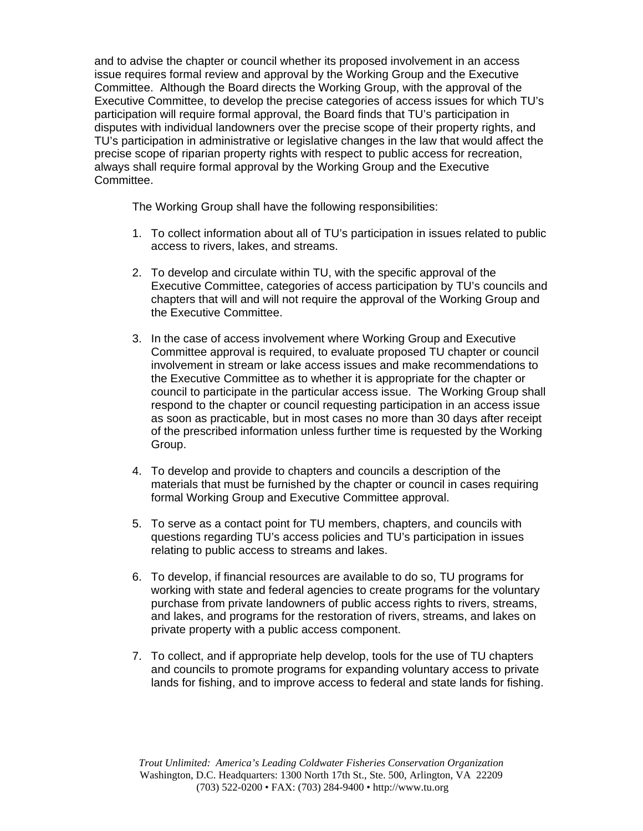and to advise the chapter or council whether its proposed involvement in an access issue requires formal review and approval by the Working Group and the Executive Committee. Although the Board directs the Working Group, with the approval of the Executive Committee, to develop the precise categories of access issues for which TU's participation will require formal approval, the Board finds that TU's participation in disputes with individual landowners over the precise scope of their property rights, and TU's participation in administrative or legislative changes in the law that would affect the precise scope of riparian property rights with respect to public access for recreation, always shall require formal approval by the Working Group and the Executive Committee.

The Working Group shall have the following responsibilities:

- 1. To collect information about all of TU's participation in issues related to public access to rivers, lakes, and streams.
- 2. To develop and circulate within TU, with the specific approval of the Executive Committee, categories of access participation by TU's councils and chapters that will and will not require the approval of the Working Group and the Executive Committee.
- 3. In the case of access involvement where Working Group and Executive Committee approval is required, to evaluate proposed TU chapter or council involvement in stream or lake access issues and make recommendations to the Executive Committee as to whether it is appropriate for the chapter or council to participate in the particular access issue. The Working Group shall respond to the chapter or council requesting participation in an access issue as soon as practicable, but in most cases no more than 30 days after receipt of the prescribed information unless further time is requested by the Working Group.
- 4. To develop and provide to chapters and councils a description of the materials that must be furnished by the chapter or council in cases requiring formal Working Group and Executive Committee approval.
- 5. To serve as a contact point for TU members, chapters, and councils with questions regarding TU's access policies and TU's participation in issues relating to public access to streams and lakes.
- 6. To develop, if financial resources are available to do so, TU programs for working with state and federal agencies to create programs for the voluntary purchase from private landowners of public access rights to rivers, streams, and lakes, and programs for the restoration of rivers, streams, and lakes on private property with a public access component.
- 7. To collect, and if appropriate help develop, tools for the use of TU chapters and councils to promote programs for expanding voluntary access to private lands for fishing, and to improve access to federal and state lands for fishing.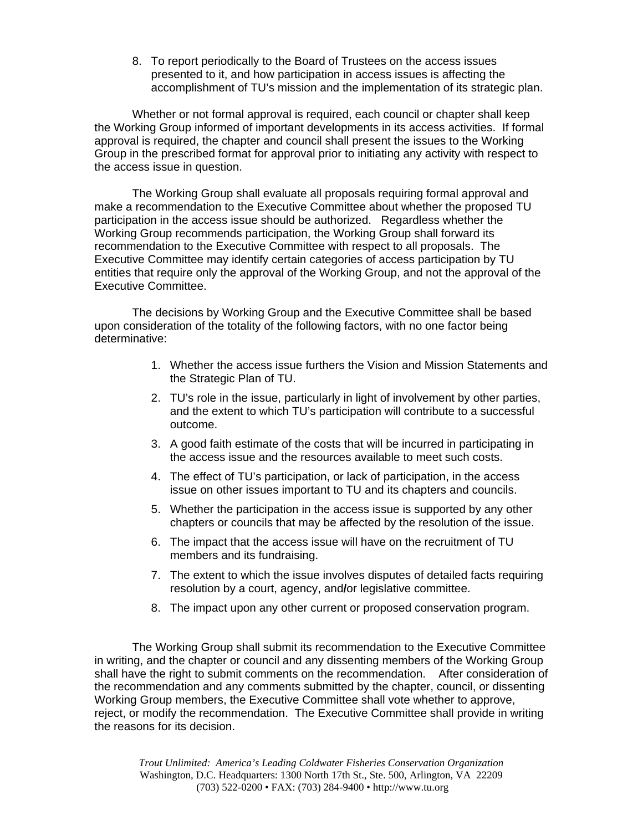8. To report periodically to the Board of Trustees on the access issues presented to it, and how participation in access issues is affecting the accomplishment of TU's mission and the implementation of its strategic plan.

 Whether or not formal approval is required, each council or chapter shall keep the Working Group informed of important developments in its access activities. If formal approval is required, the chapter and council shall present the issues to the Working Group in the prescribed format for approval prior to initiating any activity with respect to the access issue in question.

 The Working Group shall evaluate all proposals requiring formal approval and make a recommendation to the Executive Committee about whether the proposed TU participation in the access issue should be authorized. Regardless whether the Working Group recommends participation, the Working Group shall forward its recommendation to the Executive Committee with respect to all proposals. The Executive Committee may identify certain categories of access participation by TU entities that require only the approval of the Working Group, and not the approval of the Executive Committee.

 The decisions by Working Group and the Executive Committee shall be based upon consideration of the totality of the following factors, with no one factor being determinative:

- 1. Whether the access issue furthers the Vision and Mission Statements and the Strategic Plan of TU.
- 2. TU's role in the issue, particularly in light of involvement by other parties, and the extent to which TU's participation will contribute to a successful outcome.
- 3. A good faith estimate of the costs that will be incurred in participating in the access issue and the resources available to meet such costs.
- 4. The effect of TU's participation, or lack of participation, in the access issue on other issues important to TU and its chapters and councils.
- 5. Whether the participation in the access issue is supported by any other chapters or councils that may be affected by the resolution of the issue.
- 6. The impact that the access issue will have on the recruitment of TU members and its fundraising.
- 7. The extent to which the issue involves disputes of detailed facts requiring resolution by a court, agency, and**/**or legislative committee.
- 8. The impact upon any other current or proposed conservation program.

 The Working Group shall submit its recommendation to the Executive Committee in writing, and the chapter or council and any dissenting members of the Working Group shall have the right to submit comments on the recommendation. After consideration of the recommendation and any comments submitted by the chapter, council, or dissenting Working Group members, the Executive Committee shall vote whether to approve, reject, or modify the recommendation. The Executive Committee shall provide in writing the reasons for its decision.